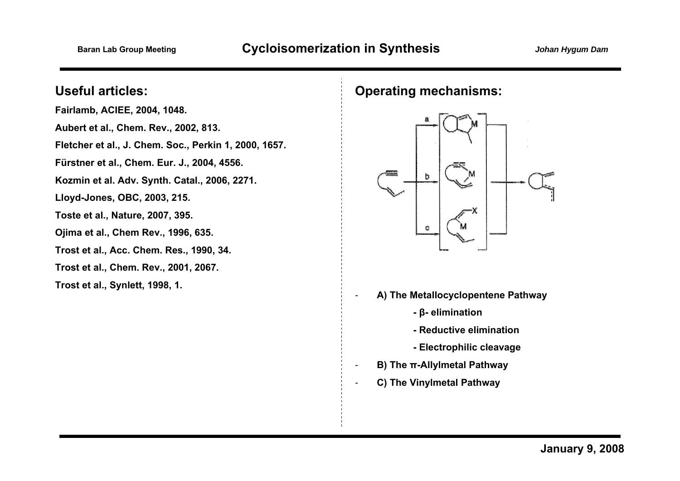### **Useful articles:**

- **Fairlamb, ACIEE, 2004, 1048.**
- **Aubert et al., Chem. Rev., 20 02, 813.**
- **Fletcher et al., J. Chem. Soc., Perkin 1, 2000, 1657.**
- **Fürstner et al., Chem. Eur. J., 2004, 4556.**
- **Kozmin et al. Adv. Synth. Catal., 2006, 2271.**
- **Lloyd-Jones, OBC, 2003, 215.**
- **Toste et al., Nature, 20 07, 395.**
- **Ojima et al., Chem Rev., 19 96, 635.**
- **Trost et al., Acc. Chem. Res., 19 90, 34.**
- **Trost et al., Chem. Rev., 20 01, 2067.**
- **Trost et al., Synlett, 1998, 1.**

## **Operating mechanisms:**



- **A) The Metallocyclopentene Pathway**
	- **- β- elimination**
	- **- Reductive elimination**
	- **- Electrophilic cleavage**
- **B) The <sup>π</sup>-Allylmetal Pathway**
	- **C) The Vinylmetal Pathway**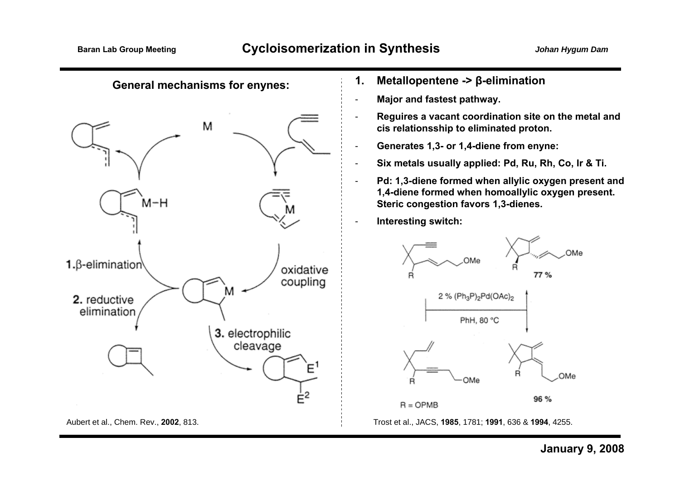### **Baran Lab Group Meeting Cycloisomerization in Synthesis** *Johan Hygum Dam*

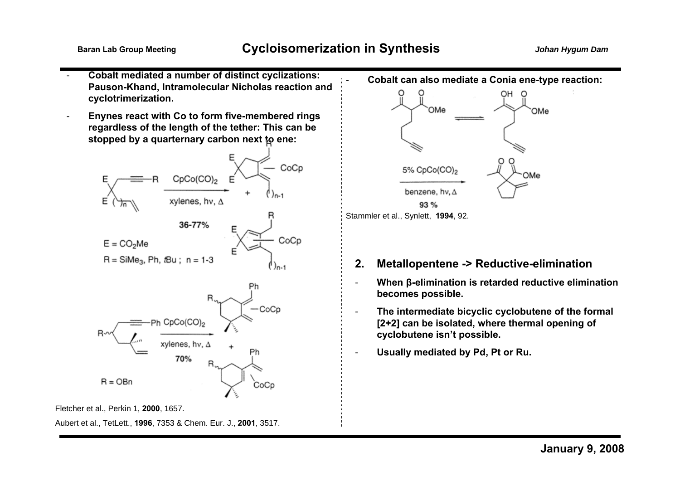-

-

- **Cobalt mediated a number of distinct cyclizations: Pauson-Khand, Intramolecular Nicholas reaction and cyclotrimerization.**
- **Enynes react with Co to form five-membered rings regardless of the length of the tether: This can be stopped by a quarternary carbon next to ene:**



Fletcher et al., Perkin 1, **2000**, 1657.

Aubert et al., TetLett., **1996**, 7353 & Chem. Eur. J., **2001**, 3517.

**Cobalt can also mediate a Conia ene-type reaction:**



#### **2. Metallopentene -> Reductive-elimination**

- **When β-elimination is retarded reductive elimination becomes possible.**
- **The intermediate bicyclic cyclobutene of the formal [2+2] can be isolated, where thermal opening of cyclobutene isn't possible.**
- **Usually mediated by Pd, Pt or Ru.**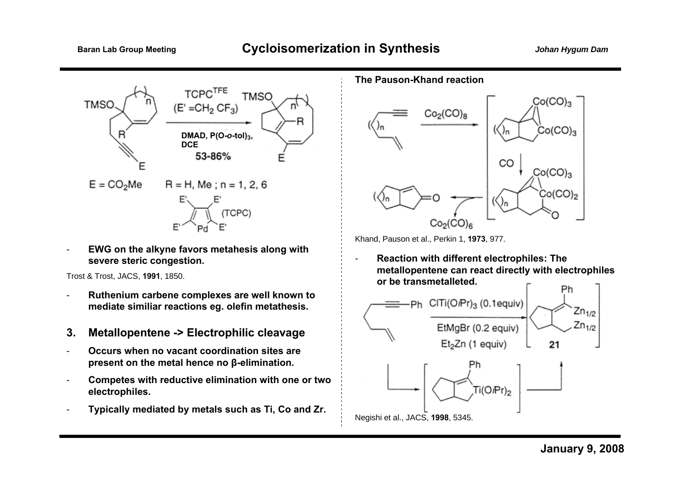

- **EWG on the alkyne favors metahesis along with severe steric congestion.**

Trost & Trost, JACS, **1991**, 1850.

- - **Ruthenium carbene complexes are well known to mediate similiar reactions eg. olefin metathesis.**
- **3. Metallopentene -> Electrophilic cleavage**
- - **Occurs when no vacant coordination sites arepresent on the metal hence no β-elimination.**
- - **Competes with reductive elimination with one or two electrophiles.**
- -**Typically mediated by metals such as Ti, Co and Zr.**

**The Pauson-Khand reaction**



Khand, Pauson et al., Perkin 1, **1973**, 977.

 **Reaction with different electrophiles: The metallopentene can react directly with electrophiles or be transmetalleted.**

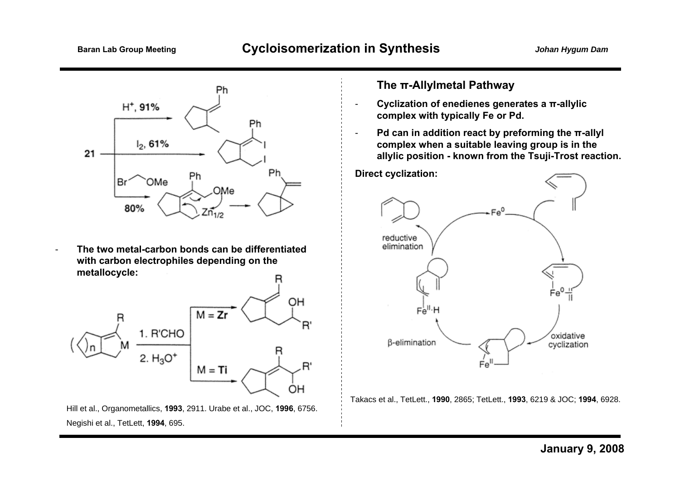-

## **Baran Lab Group Meeting Cycloisomerization in Synthesis** *Johan Hygum Dam*



 **The two metal-carbon bonds can be differentiatedwith carbon electrophiles depending on the metallocycle:**



Hill et al., Organometallics, **1993**, 2911. Urabe et al., JOC, **1996**, 6756. Negishi et al., TetLett, **1994**, 695.

### **The <sup>π</sup>-Allylmetal Pathway**

- **Cyclization of enedienes generates <sup>a</sup> <sup>π</sup>-allylic complex with typically Fe or Pd.**
- **Pd can in addition react by preforming the <sup>π</sup>-allyl complex when a suitable leaving group is in the allylic position - known from the Tsuji-Trost reaction.**



Takacs et al., TetLett., **1990**, 2865; TetLett., **1993**, 6219 & JOC; **1994**, 6928.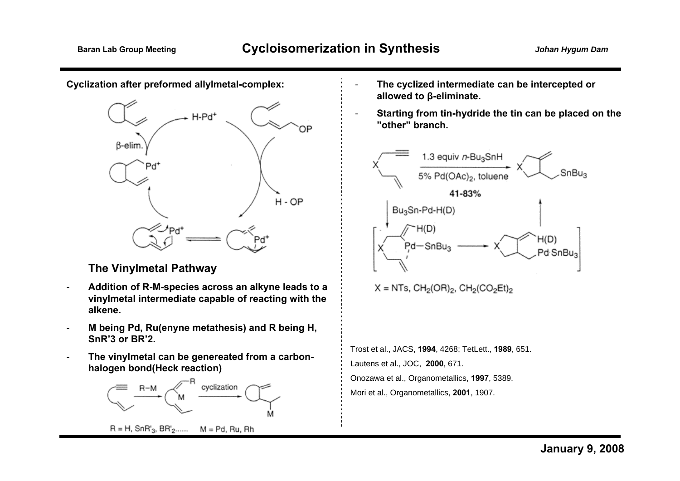#### **Cyclization after preformed allylmetal-complex:**



#### **The Vinylmetal Pathway**

- - **Addition of R-M-species across an alkyne leads to a vinylmetal intermediate capable of reacting with the alkene.**
- **M being Pd, Ru(enyne metathesis) and R being H, SnR'3 or BR'2.**
- **The vinylmetal can be genereated from a carbonhalogen bond(Heck reaction)**





- **The cyclized intermediate can be intercepted or allowed to β-eliminate.**
- **Starting from tin-hydride the tin can be placed on the "other" branch.**



 $X = NTs$ ,  $CH_2(OR)_2$ ,  $CH_2(CO_2Et)_2$ 

Trost et al., JACS, **1994**, 4268; TetLett., **1989**, 651. Lautens et al., JOC, **2000**, 671. Onozawa et al., Organometallics, **1997**, 5389. Mori et al., Organometallics, **2001**, 1907.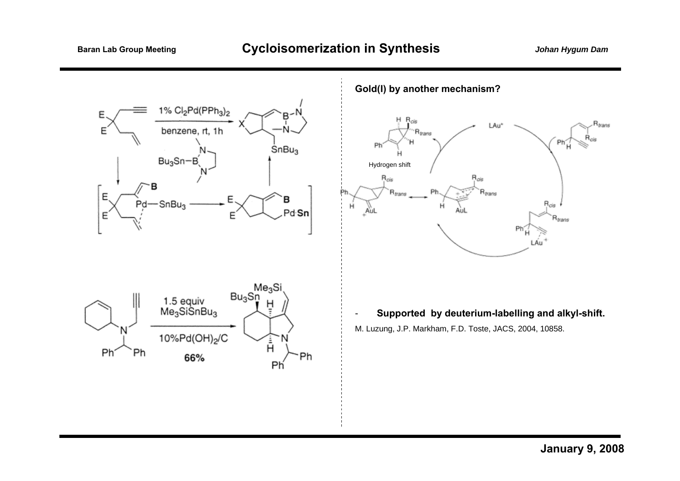## **Baran Lab Group Meeting Cycloisomerization in Synthesis** *Johan Hygum Dam*

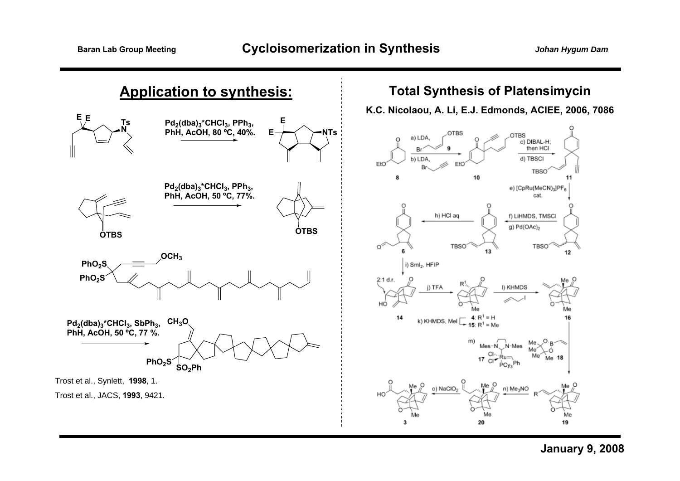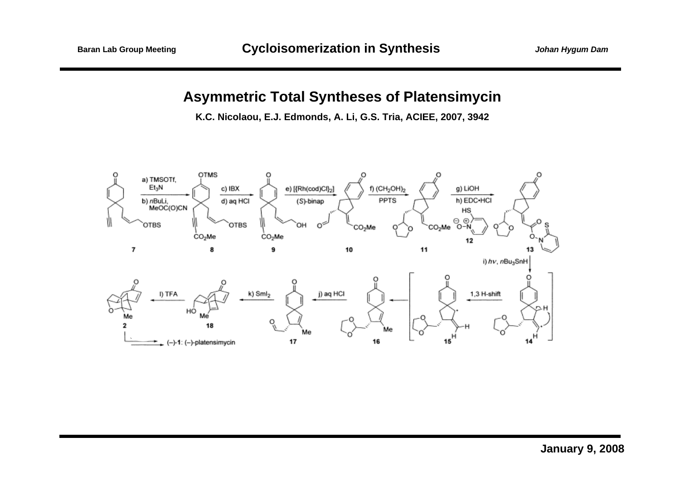## **Asymmetric Total Syntheses of Platensimycin**

**K.C. Nicolaou, E.J. Edmonds, A. Li, G.S. Tria, ACIEE, 2007, 3942**

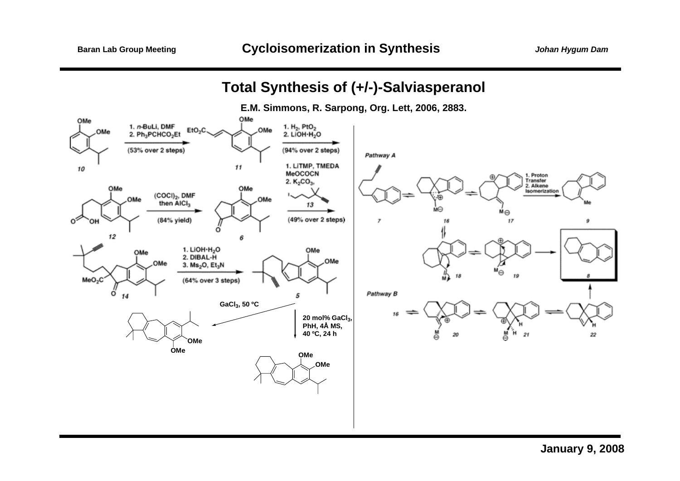# **Total Synthesis of (+/-)-Salviasperanol**

**E.M. Simmons, R. Sarpong, Org. Lett, 2006, 2883.**

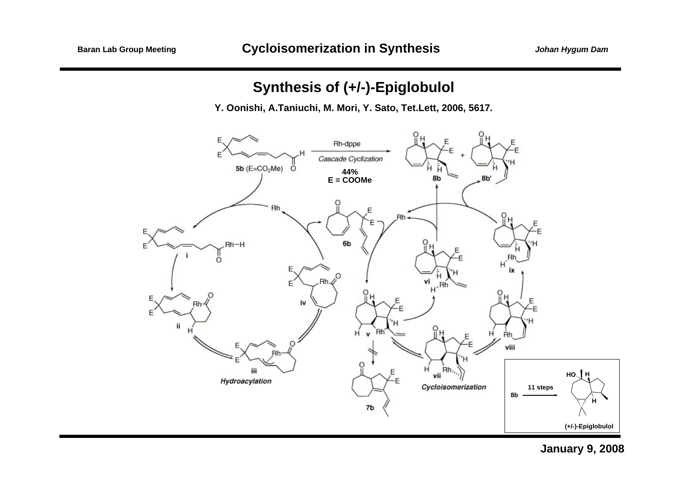# **Synthesis of (+/-)-Epiglobulol**

**Y. Oonishi, A.Taniuchi, M. Mori, Y. Sato, Tet.Lett, 2006, 5617.**

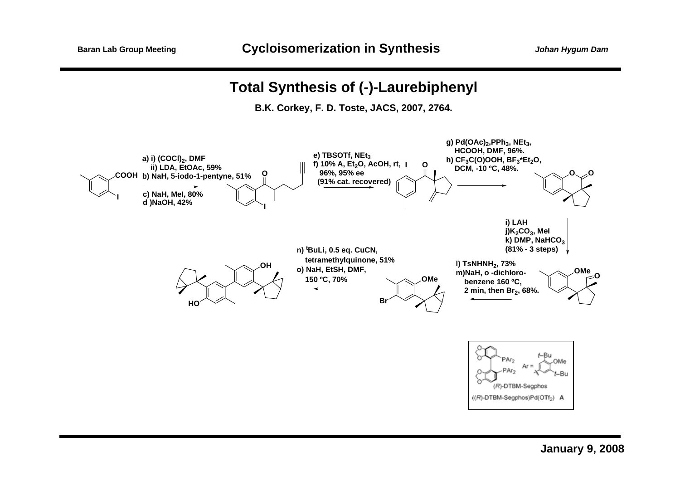# **Total Synthesis of (-)-Laurebiphenyl**

**B.K. Corkey, F. D. Toste, JACS, 2007, 2764.**

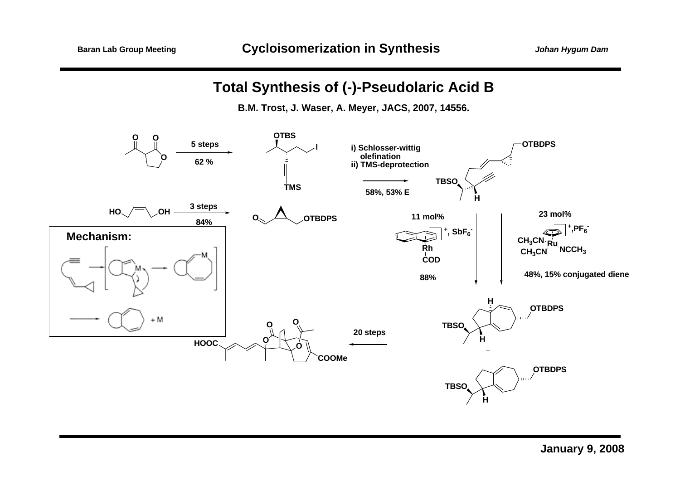# **Total Synthesis of (-)-Pseudolaric Acid B**

**B.M. Trost, J. Waser, A. Meyer, JACS, 2007, 14556.**